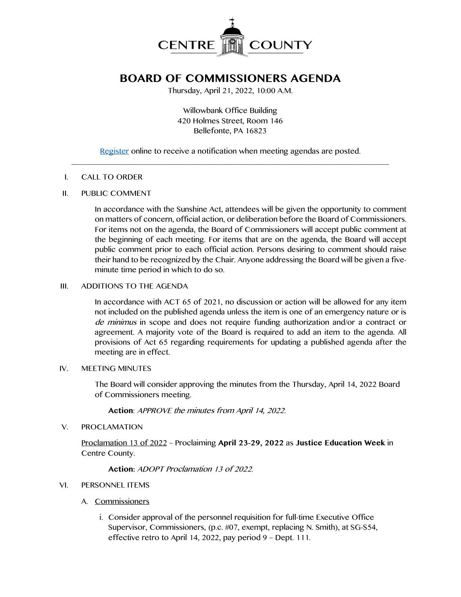

# **BOARD OF COMMISSIONERS AGENDA**

Thursday, April 21, 2022, 10:00 A.M.

Willowbank Office Building 420 Holmes Street, Room 146 Bellefonte, PA 16823

[Register](http://www.centrecountypa.gov/AgendaCenter) online to receive a notification when meeting agendas are posted.  $\mathcal{L} = \{ \mathcal{L} = \{ \mathcal{L} \mid \mathcal{L} = \{ \mathcal{L} \mid \mathcal{L} = \{ \mathcal{L} \mid \mathcal{L} = \{ \mathcal{L} \mid \mathcal{L} = \{ \mathcal{L} \mid \mathcal{L} = \{ \mathcal{L} \mid \mathcal{L} = \{ \mathcal{L} \mid \mathcal{L} = \{ \mathcal{L} \mid \mathcal{L} = \{ \mathcal{L} \mid \mathcal{L} = \{ \mathcal{L} \mid \mathcal{L} = \{ \mathcal{L} \mid \mathcal{L} = \{ \mathcal{L} \mid \mathcal{L} =$ 

#### I. CALL TO ORDER

### II. PUBLIC COMMENT

In accordance with the Sunshine Act, attendees will be given the opportunity to comment on matters of concern, official action, or deliberation before the Board of Commissioners. For items not on the agenda, the Board of Commissioners will accept public comment at the beginning of each meeting. For items that are on the agenda, the Board will accept public comment prior to each official action. Persons desiring to comment should raise their hand to be recognized by the Chair. Anyone addressing the Board will be given a fiveminute time period in which to do so.

## III. ADDITIONS TO THE AGENDA

In accordance with ACT 65 of 2021, no discussion or action will be allowed for any item not included on the published agenda unless the item is one of an emergency nature or is de minimus in scope and does not require funding authorization and/or a contract or agreement. A majority vote of the Board is required to add an item to the agenda. All provisions of Act 65 regarding requirements for updating a published agenda after the meeting are in effect.

### IV. MEETING MINUTES

The Board will consider approving the minutes from the Thursday, April 14, 2022 Board of Commissioners meeting.

**Action**: APPROVE the minutes from April 14, 2022.

V. PROCLAMATION

Proclamation 13 of 2022 – Proclaiming **April 23-29, 2022** as **Justice Education Week** in Centre County.

## **Action:** ADOPT Proclamation 13 of 2022.

## VI. PERSONNEL ITEMS

- A. Commissioners
	- i. Consider approval of the personnel requisition for full-time Executive Office Supervisor, Commissioners, (p.c. #07, exempt, replacing N. Smith), at SG-S54, effective retro to April 14, 2022, pay period 9 – Dept. 111.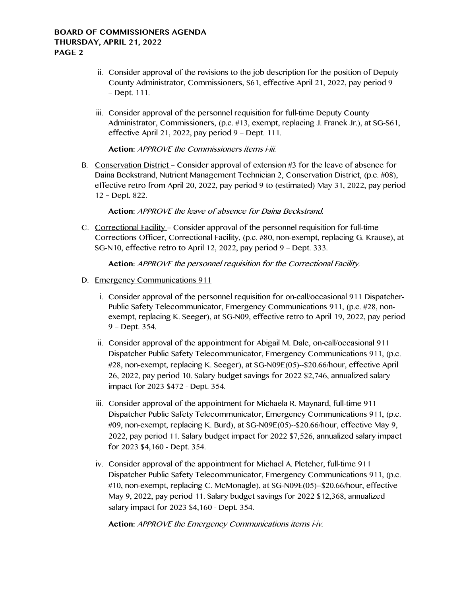## **BOARD OF COMMISSIONERS AGENDA THURSDAY, APRIL 21, 2022 PAGE 2**

- ii. Consider approval of the revisions to the job description for the position of Deputy County Administrator, Commissioners, S61, effective April 21, 2022, pay period 9 – Dept. 111.
- iii. Consider approval of the personnel requisition for full-time Deputy County Administrator, Commissioners, (p.c. #13, exempt, replacing J. Franek Jr.), at SG-S61, effective April 21, 2022, pay period 9 – Dept. 111.

**Action:** APPROVE the Commissioners items i-iii.

B. Conservation District – Consider approval of extension #3 for the leave of absence for Daina Beckstrand, Nutrient Management Technician 2, Conservation District, (p.c. #08), effective retro from April 20, 2022, pay period 9 to (estimated) May 31, 2022, pay period 12 – Dept. 822.

**Action:** APPROVE the leave of absence for Daina Beckstrand.

C. Correctional Facility – Consider approval of the personnel requisition for full-time Corrections Officer, Correctional Facility, (p.c. #80, non-exempt, replacing G. Krause), at SG-N10, effective retro to April 12, 2022, pay period 9 – Dept. 333.

**Action:** APPROVE the personnel requisition for the Correctional Facility.

- D. Emergency Communications 911
	- i. Consider approval of the personnel requisition for on-call/occasional 911 Dispatcher-Public Safety Telecommunicator, Emergency Communications 911, (p.c. #28, nonexempt, replacing K. Seeger), at SG-N09, effective retro to April 19, 2022, pay period 9 – Dept. 354.
	- ii. Consider approval of the appointment for Abigail M. Dale, on-call/occasional 911 Dispatcher Public Safety Telecommunicator, Emergency Communications 911, (p.c. #28, non-exempt, replacing K. Seeger), at SG-N09E(05)--\$20.66/hour, effective April 26, 2022, pay period 10. Salary budget savings for 2022 \$2,746, annualized salary impact for 2023 \$472 - Dept. 354.
	- iii. Consider approval of the appointment for Michaela R. Maynard, full-time 911 Dispatcher Public Safety Telecommunicator, Emergency Communications 911, (p.c. #09, non-exempt, replacing K. Burd), at SG-N09E(05)--\$20.66/hour, effective May 9, 2022, pay period 11. Salary budget impact for 2022 \$7,526, annualized salary impact for 2023 \$4,160 - Dept. 354.
	- iv. Consider approval of the appointment for Michael A. Pletcher, full-time 911 Dispatcher Public Safety Telecommunicator, Emergency Communications 911, (p.c. #10, non-exempt, replacing C. McMonagle), at SG-N09E(05)--\$20.66/hour, effective May 9, 2022, pay period 11. Salary budget savings for 2022 \$12,368, annualized salary impact for 2023 \$4,160 - Dept. 354.

**Action:** APPROVE the Emergency Communications items i-iv.